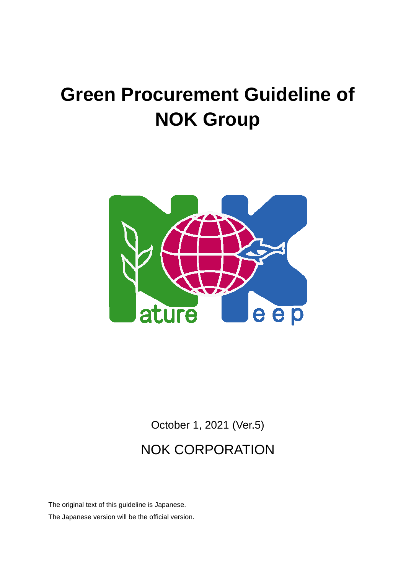# **Green Procurement Guideline of NOK Group**



October 1, 2021 (Ver.5) NOK CORPORATION

The original text of this guideline is Japanese. The Japanese version will be the official version.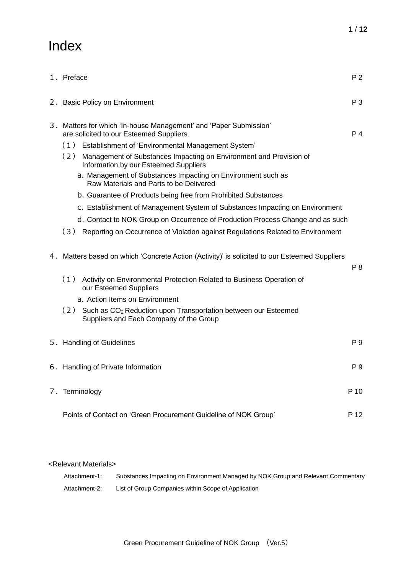# Index

| 1. Preface                                                                                                                                                                                                                                                                                                                                                                                                                                                                                                                                                | P <sub>2</sub> |  |
|-----------------------------------------------------------------------------------------------------------------------------------------------------------------------------------------------------------------------------------------------------------------------------------------------------------------------------------------------------------------------------------------------------------------------------------------------------------------------------------------------------------------------------------------------------------|----------------|--|
| 2. Basic Policy on Environment                                                                                                                                                                                                                                                                                                                                                                                                                                                                                                                            | P <sub>3</sub> |  |
| 3. Matters for which 'In-house Management' and 'Paper Submission'<br>are solicited to our Esteemed Suppliers<br>(1) Establishment of 'Environmental Management System'<br>(2)<br>Management of Substances Impacting on Environment and Provision of<br>Information by our Esteemed Suppliers<br>a. Management of Substances Impacting on Environment such as<br>Raw Materials and Parts to be Delivered<br>b. Guarantee of Products being free from Prohibited Substances<br>c. Establishment of Management System of Substances Impacting on Environment | P 4            |  |
| d. Contact to NOK Group on Occurrence of Production Process Change and as such<br>(3) Reporting on Occurrence of Violation against Regulations Related to Environment                                                                                                                                                                                                                                                                                                                                                                                     |                |  |
| 4. Matters based on which 'Concrete Action (Activity)' is solicited to our Esteemed Suppliers<br>(1) Activity on Environmental Protection Related to Business Operation of<br>our Esteemed Suppliers<br>a. Action Items on Environment<br>(2) Such as CO <sub>2</sub> Reduction upon Transportation between our Esteemed<br>Suppliers and Each Company of the Group                                                                                                                                                                                       | P 8            |  |
| 5. Handling of Guidelines                                                                                                                                                                                                                                                                                                                                                                                                                                                                                                                                 | P 9            |  |
|                                                                                                                                                                                                                                                                                                                                                                                                                                                                                                                                                           |                |  |
| 6. Handling of Private Information<br>P 9                                                                                                                                                                                                                                                                                                                                                                                                                                                                                                                 |                |  |
| 7. Terminology                                                                                                                                                                                                                                                                                                                                                                                                                                                                                                                                            | P 10           |  |
| Points of Contact on 'Green Procurement Guideline of NOK Group'                                                                                                                                                                                                                                                                                                                                                                                                                                                                                           | P 12           |  |

## <Relevant Materials>

| Attachment-1: | Substances Impacting on Environment Managed by NOK Group and Relevant Commentary |
|---------------|----------------------------------------------------------------------------------|
| Attachment-2: | List of Group Companies within Scope of Application                              |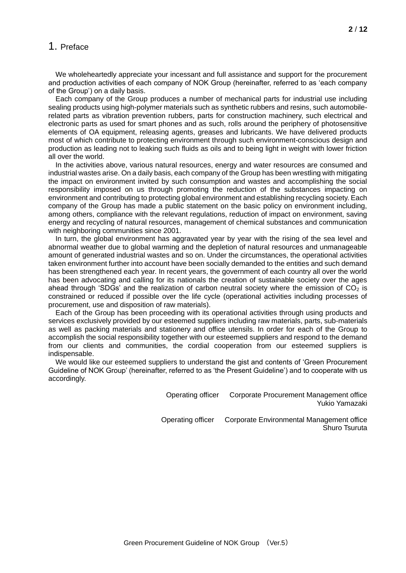# 1. Preface

We wholeheartedly appreciate your incessant and full assistance and support for the procurement and production activities of each company of NOK Group (hereinafter, referred to as 'each company of the Group') on a daily basis.

Each company of the Group produces a number of mechanical parts for industrial use including sealing products using high-polymer materials such as synthetic rubbers and resins, such automobilerelated parts as vibration prevention rubbers, parts for construction machinery, such electrical and electronic parts as used for smart phones and as such, rolls around the periphery of photosensitive elements of OA equipment, releasing agents, greases and lubricants. We have delivered products most of which contribute to protecting environment through such environment-conscious design and production as leading not to leaking such fluids as oils and to being light in weight with lower friction all over the world.

In the activities above, various natural resources, energy and water resources are consumed and industrial wastes arise. On a daily basis, each company of the Group has been wrestling with mitigating the impact on environment invited by such consumption and wastes and accomplishing the social responsibility imposed on us through promoting the reduction of the substances impacting on environment and contributing to protecting global environment and establishing recycling society. Each company of the Group has made a public statement on the basic policy on environment including, among others, compliance with the relevant regulations, reduction of impact on environment, saving energy and recycling of natural resources, management of chemical substances and communication with neighboring communities since 2001.

In turn, the global environment has aggravated year by year with the rising of the sea level and abnormal weather due to global warming and the depletion of natural resources and unmanageable amount of generated industrial wastes and so on. Under the circumstances, the operational activities taken environment further into account have been socially demanded to the entities and such demand has been strengthened each year. In recent years, the government of each country all over the world has been advocating and calling for its nationals the creation of sustainable society over the ages ahead through 'SDGs' and the realization of carbon neutral society where the emission of  $CO<sub>2</sub>$  is constrained or reduced if possible over the life cycle (operational activities including processes of procurement, use and disposition of raw materials).

Each of the Group has been proceeding with its operational activities through using products and services exclusively provided by our esteemed suppliers including raw materials, parts, sub-materials as well as packing materials and stationery and office utensils. In order for each of the Group to accomplish the social responsibility together with our esteemed suppliers and respond to the demand from our clients and communities, the cordial cooperation from our esteemed suppliers is indispensable.

We would like our esteemed suppliers to understand the gist and contents of 'Green Procurement Guideline of NOK Group' (hereinafter, referred to as 'the Present Guideline') and to cooperate with us accordingly.

> Operating officer Corporate Procurement Management office Yukio Yamazaki

Operating officer Corporate Environmental Management office Shuro Tsuruta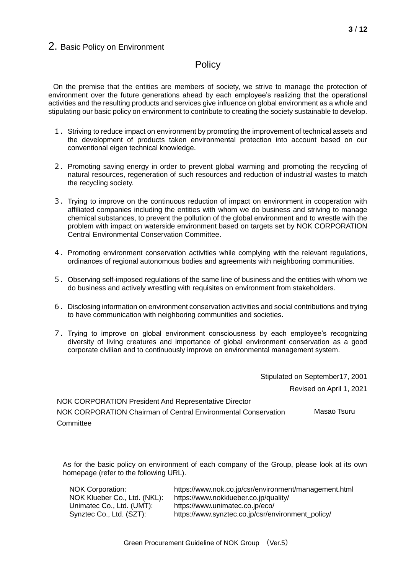# 2. Basic Policy on Environment

# **Policy**

On the premise that the entities are members of society, we strive to manage the protection of environment over the future generations ahead by each employee's realizing that the operational activities and the resulting products and services give influence on global environment as a whole and stipulating our basic policy on environment to contribute to creating the society sustainable to develop.

- 1.Striving to reduce impact on environment by promoting the improvement of technical assets and the development of products taken environmental protection into account based on our conventional eigen technical knowledge.
- 2.Promoting saving energy in order to prevent global warming and promoting the recycling of natural resources, regeneration of such resources and reduction of industrial wastes to match the recycling society.
- 3.Trying to improve on the continuous reduction of impact on environment in cooperation with affiliated companies including the entities with whom we do business and striving to manage chemical substances, to prevent the pollution of the global environment and to wrestle with the problem with impact on waterside environment based on targets set by NOK CORPORATION Central Environmental Conservation Committee.
- 4. Promoting environment conservation activities while complying with the relevant regulations, ordinances of regional autonomous bodies and agreements with neighboring communities.
- 5.Observing self-imposed regulations of the same line of business and the entities with whom we do business and actively wrestling with requisites on environment from stakeholders.
- 6.Disclosing information on environment conservation activities and social contributions and trying to have communication with neighboring communities and societies.
- 7.Trying to improve on global environment consciousness by each employee's recognizing diversity of living creatures and importance of global environment conservation as a good corporate civilian and to continuously improve on environmental management system.

Stipulated on September17, 2001 Revised on April 1, 2021 NOK CORPORATION President And Representative Director

NOK CORPORATION Chairman of Central Environmental Conservation **Committee** Masao Tsuru

As for the basic policy on environment of each company of the Group, please look at its own homepage (refer to the following URL).

| NOK Corporation:             | https://www.nok.co.jp/csr/environment/management.html |
|------------------------------|-------------------------------------------------------|
| NOK Klueber Co., Ltd. (NKL): | https://www.nokklueber.co.jp/quality/                 |
| Unimatec Co., Ltd. (UMT):    | https://www.unimatec.co.jp/eco/                       |
| Synztec Co., Ltd. (SZT):     | https://www.synztec.co.jp/csr/environment policy/     |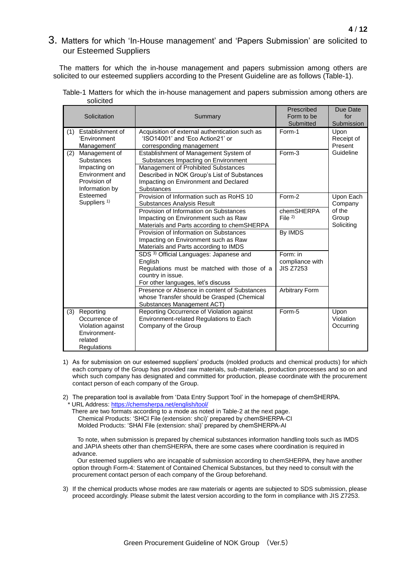# 3. Matters for which 'In-House management' and 'Papers Submission' are solicited to our Esteemed Suppliers

The matters for which the in-house management and papers submission among others are solicited to our esteemed suppliers according to the Present Guideline are as follows (Table-1).

|     | Solicitation                                                                                            | Summary                                                                                                                                                                                                                   | Prescribed<br>Form to be<br>Submitted           | Due Date<br>for<br>Submission                         |
|-----|---------------------------------------------------------------------------------------------------------|---------------------------------------------------------------------------------------------------------------------------------------------------------------------------------------------------------------------------|-------------------------------------------------|-------------------------------------------------------|
| (1) | Establishment of<br>'Environment<br>Management'                                                         | Acquisition of external authentication such as<br>'ISO14001' and 'Eco Action21' or<br>corresponding management                                                                                                            | Form-1                                          | Upon<br>Receipt of<br>Present                         |
| (2) | Management of<br><b>Substances</b><br>Impacting on<br>Environment and<br>Provision of<br>Information by | Establishment of Management System of<br>Substances Impacting on Environment<br>Management of Prohibited Substances<br>Described in NOK Group's List of Substances<br>Impacting on Environment and Declared<br>Substances | Form-3                                          | Guideline                                             |
|     | Esteemed<br>Suppliers <sup>1)</sup>                                                                     | Provision of Information such as RoHS 10<br><b>Substances Analysis Result</b><br>Provision of Information on Substances<br>Impacting on Environment such as Raw                                                           | Form-2<br>chemSHERPA<br>File $^{2)}$            | Upon Each<br>Company<br>of the<br>Group<br>Soliciting |
|     |                                                                                                         | Materials and Parts according to chemSHERPA<br>Provision of Information on Substances<br>Impacting on Environment such as Raw<br>Materials and Parts according to IMDS                                                    | By IMDS                                         |                                                       |
|     |                                                                                                         | SDS <sup>3)</sup> Official Languages: Japanese and<br>English<br>Regulations must be matched with those of a<br>country in issue.<br>For other languages, let's discuss                                                   | Form: in<br>compliance with<br><b>JIS Z7253</b> |                                                       |
|     |                                                                                                         | Presence or Absence in content of Substances<br>whose Transfer should be Grasped (Chemical<br>Substances Management ACT)                                                                                                  | <b>Arbitrary Form</b>                           |                                                       |
| (3) | Reporting<br>Occurrence of<br>Violation against<br>Environment-<br>related<br>Regulations               | Reporting Occurrence of Violation against<br>Environment-related Regulations to Each<br>Company of the Group                                                                                                              | Form-5                                          | Upon<br>Violation<br>Occurring                        |

#### Table-1 Matters for which the in-house management and papers submission among others are solicited

- 1) As for submission on our esteemed suppliers' products (molded products and chemical products) for which each company of the Group has provided raw materials, sub-materials, production processes and so on and which such company has designated and committed for production, please coordinate with the procurement contact person of each company of the Group.
- 2) The preparation tool is available from 'Data Entry Support Tool' in the homepage of chemSHERPA. URL Address:<https://chemsherpa.net/english/tool/>

There are two formats according to a mode as noted in Table-2 at the next page. Chemical Products: 'SHCI File (extension: shci)' prepared by chemSHERPA-CI Molded Products: 'SHAI File (extension: shai)' prepared by chemSHERPA-AI

To note, when submission is prepared by chemical substances information handling tools such as IMDS and JAPIA sheets other than chemSHERPA, there are some cases where coordination is required in advance.

Our esteemed suppliers who are incapable of submission according to chemSHERPA, they have another option through Form-4: Statement of Contained Chemical Substances, but they need to consult with the procurement contact person of each company of the Group beforehand.

3) If the chemical products whose modes are raw materials or agents are subjected to SDS submission, please proceed accordingly. Please submit the latest version according to the form in compliance with JIS Z7253.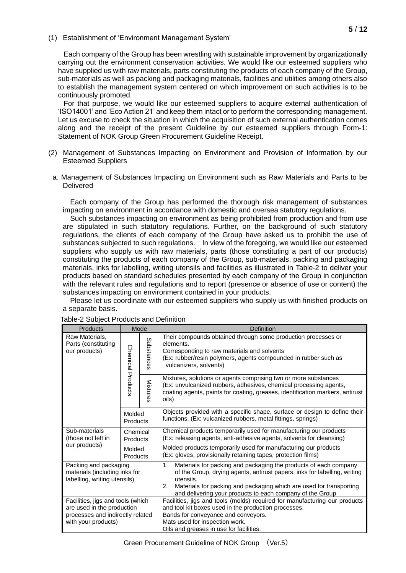(1) Establishment of 'Environment Management System'

Each company of the Group has been wrestling with sustainable improvement by organizationally carrying out the environment conservation activities. We would like our esteemed suppliers who have supplied us with raw materials, parts constituting the products of each company of the Group, sub-materials as well as packing and packaging materials, facilities and utilities among others also to establish the management system centered on which improvement on such activities is to be continuously promoted.

For that purpose, we would like our esteemed suppliers to acquire external authentication of 'ISO14001' and 'Eco Action 21' and keep them intact or to perform the corresponding management. Let us excuse to check the situation in which the acquisition of such external authentication comes along and the receipt of the present Guideline by our esteemed suppliers through Form-1: Statement of NOK Group Green Procurement Guideline Receipt.

- (2) Management of Substances Impacting on Environment and Provision of Information by our Esteemed Suppliers
- a. Management of Substances Impacting on Environment such as Raw Materials and Parts to be **Delivered**

Each company of the Group has performed the thorough risk management of substances impacting on environment in accordance with domestic and oversea statutory regulations.

Such substances impacting on environment as being prohibited from production and from use are stipulated in such statutory regulations. Further, on the background of such statutory regulations, the clients of each company of the Group have asked us to prohibit the use of substances subjected to such regulations. In view of the foregoing, we would like our esteemed suppliers who supply us with raw materials, parts (those constituting a part of our products) constituting the products of each company of the Group, sub-materials, packing and packaging materials, inks for labelling, writing utensils and facilities as illustrated in Table-2 to deliver your products based on standard schedules presented by each company of the Group in conjunction with the relevant rules and regulations and to report (presence or absence of use or content) the substances impacting on environment contained in your products.

Please let us coordinate with our esteemed suppliers who supply us with finished products on a separate basis.

| Products                                                                                                                   |                          | Mode       | Definition                                                                                                                                                                                                                                                                                                 |  |
|----------------------------------------------------------------------------------------------------------------------------|--------------------------|------------|------------------------------------------------------------------------------------------------------------------------------------------------------------------------------------------------------------------------------------------------------------------------------------------------------------|--|
| Raw Materials.<br>Parts (constituting<br>our products)                                                                     | <b>Chemical Products</b> | Substances | Their compounds obtained through some production processes or<br>elements.<br>Corresponding to raw materials and solvents<br>(Ex: rubber/resin polymers, agents compounded in rubber such as<br>vulcanizers, solvents)                                                                                     |  |
|                                                                                                                            |                          | Mixtures   | Mixtures, solutions or agents comprising two or more substances<br>(Ex: unvulcanized rubbers, adhesives, chemical processing agents,<br>coating agents, paints for coating, greases, identification markers, antirust<br>oils)                                                                             |  |
|                                                                                                                            | Molded<br>Products       |            | Objects provided with a specific shape, surface or design to define their<br>functions. (Ex: vulcanized rubbers, metal fittings, springs)                                                                                                                                                                  |  |
| Sub-materials<br>(those not left in                                                                                        | Chemical<br>Products     |            | Chemical products temporarily used for manufacturing our products<br>(Ex: releasing agents, anti-adhesive agents, solvents for cleansing)                                                                                                                                                                  |  |
| our products)                                                                                                              | Molded<br>Products       |            | Molded products temporarily used for manufacturing our products<br>(Ex: gloves, provisionally retaining tapes, protection films)                                                                                                                                                                           |  |
| Packing and packaging<br>materials (including inks for<br>labelling, writing utensils)                                     |                          |            | Materials for packing and packaging the products of each company<br>1.<br>of the Group, drying agents, antirust papers, inks for labelling, writing<br>utensils.<br>Materials for packing and packaging which are used for transporting<br>2.<br>and delivering your products to each company of the Group |  |
| Facilities, jigs and tools (which<br>are used in the production<br>processes and indirectly related<br>with your products) |                          |            | Facilities, jigs and tools (molds) required for manufacturing our products<br>and tool kit boxes used in the production processes.<br>Bands for conveyance and conveyors.<br>Mats used for inspection work.<br>Oils and greases in use for facilities.                                                     |  |

Table-2 Subject Products and Definition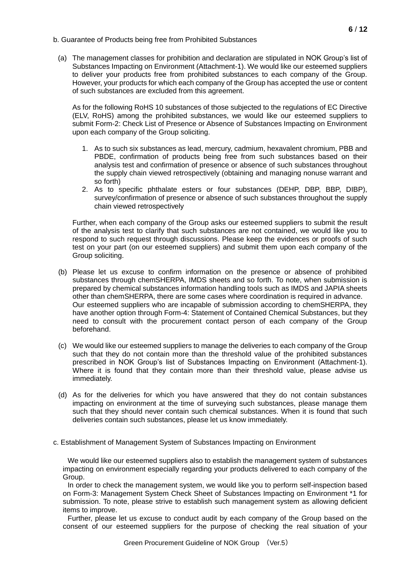#### b. Guarantee of Products being free from Prohibited Substances

(a) The management classes for prohibition and declaration are stipulated in NOK Group's list of Substances Impacting on Environment (Attachment-1). We would like our esteemed suppliers to deliver your products free from prohibited substances to each company of the Group. However, your products for which each company of the Group has accepted the use or content of such substances are excluded from this agreement.

As for the following RoHS 10 substances of those subjected to the regulations of EC Directive (ELV, RoHS) among the prohibited substances, we would like our esteemed suppliers to submit Form-2: Check List of Presence or Absence of Substances Impacting on Environment upon each company of the Group soliciting.

- 1. As to such six substances as lead, mercury, cadmium, hexavalent chromium, PBB and PBDE, confirmation of products being free from such substances based on their analysis test and confirmation of presence or absence of such substances throughout the supply chain viewed retrospectively (obtaining and managing nonuse warrant and so forth)
- 2. As to specific phthalate esters or four substances (DEHP, DBP, BBP, DIBP), survey/confirmation of presence or absence of such substances throughout the supply chain viewed retrospectively

Further, when each company of the Group asks our esteemed suppliers to submit the result of the analysis test to clarify that such substances are not contained, we would like you to respond to such request through discussions. Please keep the evidences or proofs of such test on your part (on our esteemed suppliers) and submit them upon each company of the Group soliciting.

- (b) Please let us excuse to confirm information on the presence or absence of prohibited substances through chemSHERPA, IMDS sheets and so forth. To note, when submission is prepared by chemical substances information handling tools such as IMDS and JAPIA sheets other than chemSHERPA, there are some cases where coordination is required in advance. Our esteemed suppliers who are incapable of submission according to chemSHERPA, they have another option through Form-4: Statement of Contained Chemical Substances, but they need to consult with the procurement contact person of each company of the Group beforehand.
- (c) We would like our esteemed suppliers to manage the deliveries to each company of the Group such that they do not contain more than the threshold value of the prohibited substances prescribed in NOK Group's list of Substances Impacting on Environment (Attachment-1). Where it is found that they contain more than their threshold value, please advise us immediately.
- (d) As for the deliveries for which you have answered that they do not contain substances impacting on environment at the time of surveying such substances, please manage them such that they should never contain such chemical substances. When it is found that such deliveries contain such substances, please let us know immediately.
- c. Establishment of Management System of Substances Impacting on Environment

We would like our esteemed suppliers also to establish the management system of substances impacting on environment especially regarding your products delivered to each company of the Group.

In order to check the management system, we would like you to perform self-inspection based on Form-3: Management System Check Sheet of Substances Impacting on Environment \*1 for submission. To note, please strive to establish such management system as allowing deficient items to improve.

Further, please let us excuse to conduct audit by each company of the Group based on the consent of our esteemed suppliers for the purpose of checking the real situation of your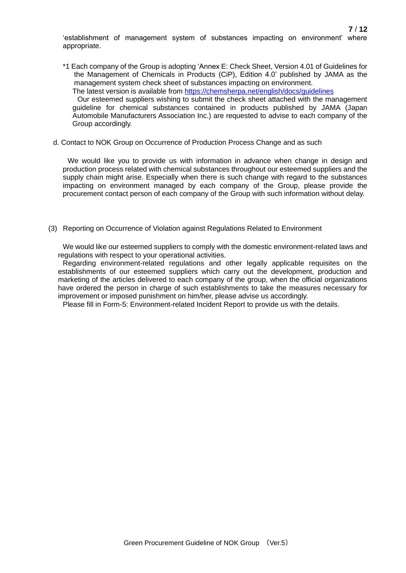'establishment of management system of substances impacting on environment' where appropriate.

\*1 Each company of the Group is adopting 'Annex E: Check Sheet, Version 4.01 of Guidelines for the Management of Chemicals in Products (CiP), Edition 4.0' published by JAMA as the management system check sheet of substances impacting on environment.

The latest version is available from<https://chemsherpa.net/english/docs/guidelines>

Our esteemed suppliers wishing to submit the check sheet attached with the management guideline for chemical substances contained in products published by JAMA (Japan Automobile Manufacturers Association Inc.) are requested to advise to each company of the Group accordingly.

d. Contact to NOK Group on Occurrence of Production Process Change and as such

We would like you to provide us with information in advance when change in design and production process related with chemical substances throughout our esteemed suppliers and the supply chain might arise. Especially when there is such change with regard to the substances impacting on environment managed by each company of the Group, please provide the procurement contact person of each company of the Group with such information without delay.

(3) Reporting on Occurrence of Violation against Regulations Related to Environment

We would like our esteemed suppliers to comply with the domestic environment-related laws and regulations with respect to your operational activities.

Regarding environment-related regulations and other legally applicable requisites on the establishments of our esteemed suppliers which carry out the development, production and marketing of the articles delivered to each company of the group, when the official organizations have ordered the person in charge of such establishments to take the measures necessary for improvement or imposed punishment on him/her, please advise us accordingly.

Please fill in Form-5: Environment-related Incident Report to provide us with the details.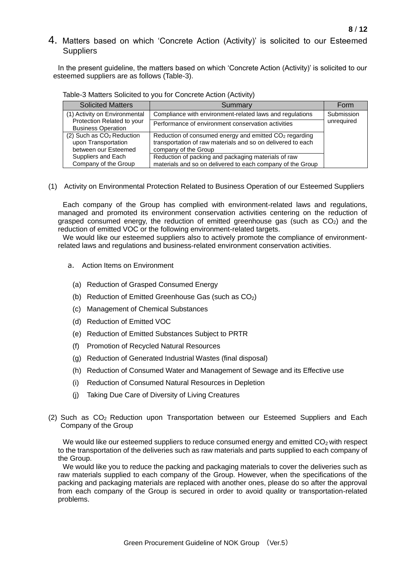# 4. Matters based on which 'Concrete Action (Activity)' is solicited to our Esteemed **Suppliers**

In the present guideline, the matters based on which 'Concrete Action (Activity)' is solicited to our esteemed suppliers are as follows (Table-3).

| <b>Solicited Matters</b>                                                             | Summary                                                                                                                                                   | Form       |
|--------------------------------------------------------------------------------------|-----------------------------------------------------------------------------------------------------------------------------------------------------------|------------|
| (1) Activity on Environmental                                                        | Compliance with environment-related laws and regulations                                                                                                  | Submission |
| Protection Related to your<br><b>Business Operation</b>                              | Performance of environment conservation activities                                                                                                        | unrequired |
| (2) Such as CO <sub>2</sub> Reduction<br>upon Transportation<br>between our Esteemed | Reduction of consumed energy and emitted CO <sub>2</sub> regarding<br>transportation of raw materials and so on delivered to each<br>company of the Group |            |
| Suppliers and Each<br>Company of the Group                                           | Reduction of packing and packaging materials of raw<br>materials and so on delivered to each company of the Group                                         |            |

#### Table-3 Matters Solicited to you for Concrete Action (Activity)

(1) Activity on Environmental Protection Related to Business Operation of our Esteemed Suppliers

Each company of the Group has complied with environment-related laws and regulations, managed and promoted its environment conservation activities centering on the reduction of grasped consumed energy, the reduction of emitted greenhouse gas (such as  $CO<sub>2</sub>$ ) and the reduction of emitted VOC or the following environment-related targets.

We would like our esteemed suppliers also to actively promote the compliance of environmentrelated laws and regulations and business-related environment conservation activities.

- a. Action Items on Environment
	- (a) Reduction of Grasped Consumed Energy
	- (b) Reduction of Emitted Greenhouse Gas (such as  $CO<sub>2</sub>$ )
	- (c) Management of Chemical Substances
	- (d) Reduction of Emitted VOC
	- (e) Reduction of Emitted Substances Subject to PRTR
	- (f) Promotion of Recycled Natural Resources
	- (g) Reduction of Generated Industrial Wastes (final disposal)
	- (h) Reduction of Consumed Water and Management of Sewage and its Effective use
	- (i) Reduction of Consumed Natural Resources in Depletion
	- (j) Taking Due Care of Diversity of Living Creatures
- (2) Such as CO2 Reduction upon Transportation between our Esteemed Suppliers and Each Company of the Group

We would like our esteemed suppliers to reduce consumed energy and emitted  $CO<sub>2</sub>$  with respect to the transportation of the deliveries such as raw materials and parts supplied to each company of the Group.

We would like you to reduce the packing and packaging materials to cover the deliveries such as raw materials supplied to each company of the Group. However, when the specifications of the packing and packaging materials are replaced with another ones, please do so after the approval from each company of the Group is secured in order to avoid quality or transportation-related problems.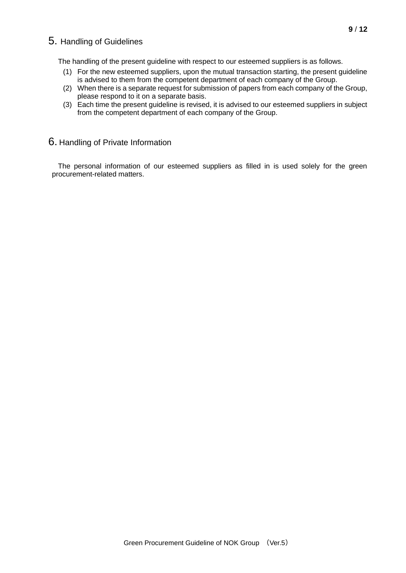# 5. Handling of Guidelines

The handling of the present guideline with respect to our esteemed suppliers is as follows.

- (1) For the new esteemed suppliers, upon the mutual transaction starting, the present guideline is advised to them from the competent department of each company of the Group.
- (2) When there is a separate request for submission of papers from each company of the Group, please respond to it on a separate basis.
- (3) Each time the present guideline is revised, it is advised to our esteemed suppliers in subject from the competent department of each company of the Group.

## 6. Handling of Private Information

The personal information of our esteemed suppliers as filled in is used solely for the green procurement-related matters.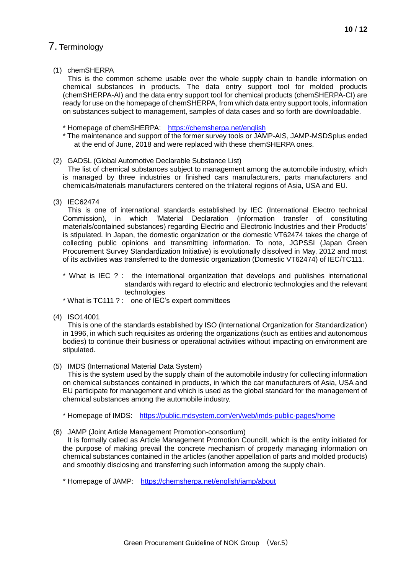# 7. Terminology

#### (1) chemSHERPA

This is the common scheme usable over the whole supply chain to handle information on chemical substances in products. The data entry support tool for molded products (chemSHERPA-AI) and the data entry support tool for chemical products (chemSHERPA-CI) are ready for use on the homepage of chemSHERPA, from which data entry support tools, information on substances subject to management, samples of data cases and so forth are downloadable.

- \* Homepage of chemSHERPA: [https://chemsherpa.net/e](https://chemsherpa.net/)nglish
- \* The maintenance and support of the former survey tools or JAMP-AIS, JAMP-MSDSplus ended at the end of June, 2018 and were replaced with these chemSHERPA ones.

#### (2) GADSL (Global Automotive Declarable Substance List)

The list of chemical substances subject to management among the automobile industry, which is managed by three industries or finished cars manufacturers, parts manufacturers and chemicals/materials manufacturers centered on the trilateral regions of Asia, USA and EU.

(3) IEC62474

This is one of international standards established by IEC (International Electro technical Commission), in which 'Material Declaration (information transfer of constituting materials/contained substances) regarding Electric and Electronic Industries and their Products' is stipulated. In Japan, the domestic organization or the domestic VT62474 takes the charge of collecting public opinions and transmitting information. To note, JGPSSI (Japan Green Procurement Survey Standardization Initiative) is evolutionally dissolved in May, 2012 and most of its activities was transferred to the domestic organization (Domestic VT62474) of IEC/TC111.

- \* What is IEC ? : the international organization that develops and publishes international standards with regard to electric and electronic technologies and the relevant technologies
- \* What is TC111 ? : one of IEC's expert committees
- (4) ISO14001

This is one of the standards established by ISO (International Organization for Standardization) in 1996, in which such requisites as ordering the organizations (such as entities and autonomous bodies) to continue their business or operational activities without impacting on environment are stipulated.

(5) IMDS (International Material Data System)

This is the system used by the supply chain of the automobile industry for collecting information on chemical substances contained in products, in which the car manufacturers of Asia, USA and EU participate for management and which is used as the global standard for the management of chemical substances among the automobile industry.

\* Homepage of IMDS: <https://public.mdsystem.com/en/web/imds-public-pages/home>

(6) JAMP (Joint Article Management Promotion-consortium)

It is formally called as Article Management Promotion Councill, which is the entity initiated for the purpose of making prevail the concrete mechanism of properly managing information on chemical substances contained in the articles (another appellation of parts and molded products) and smoothly disclosing and transferring such information among the supply chain.

\* Homepage of JAMP: <https://chemsherpa.net/english/jamp/about>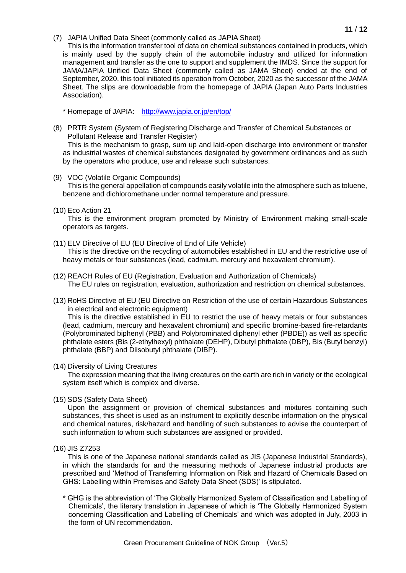(7) JAPIA Unified Data Sheet (commonly called as JAPIA Sheet)

This is the information transfer tool of data on chemical substances contained in products, which is mainly used by the supply chain of the automobile industry and utilized for information management and transfer as the one to support and supplement the IMDS. Since the support for JAMA/JAPIA Unified Data Sheet (commonly called as JAMA Sheet) ended at the end of September, 2020, this tool initiated its operation from October, 2020 as the successor of the JAMA Sheet. The slips are downloadable from the homepage of JAPIA (Japan Auto Parts Industries Association).

\* Homepage of JAPIA: [http://www.japia.or.jp/e](http://www.japia.or.jp/)n/top/

(8) PRTR System (System of Registering Discharge and Transfer of Chemical Substances or Pollutant Release and Transfer Register)

This is the mechanism to grasp, sum up and laid-open discharge into environment or transfer as industrial wastes of chemical substances designated by government ordinances and as such by the operators who produce, use and release such substances.

(9) VOC (Volatile Organic Compounds)

This is the general appellation of compounds easily volatile into the atmosphere such as toluene, benzene and dichloromethane under normal temperature and pressure.

(10) Eco Action 21

This is the environment program promoted by Ministry of Environment making small-scale operators as targets.

(11) ELV Directive of EU (EU Directive of End of Life Vehicle)

This is the directive on the recycling of automobiles established in EU and the restrictive use of heavy metals or four substances (lead, cadmium, mercury and hexavalent chromium).

- (12) REACH Rules of EU (Registration, Evaluation and Authorization of Chemicals) The EU rules on registration, evaluation, authorization and restriction on chemical substances.
- (13) RoHS Directive of EU (EU Directive on Restriction of the use of certain Hazardous Substances in electrical and electronic equipment)

This is the directive established in EU to restrict the use of heavy metals or four substances (lead, cadmium, mercury and hexavalent chromium) and specific bromine-based fire-retardants (Polybrominated biphenyl (PBB) and Polybrominated diphenyl ether (PBDE)) as well as specific phthalate esters (Bis (2-ethylhexyl) phthalate (DEHP), Dibutyl phthalate (DBP), Bis (Butyl benzyl) phthalate (BBP) and Diisobutyl phthalate (DIBP).

#### (14) Diversity of Living Creatures

The expression meaning that the living creatures on the earth are rich in variety or the ecological system itself which is complex and diverse.

(15) SDS (Safety Data Sheet)

Upon the assignment or provision of chemical substances and mixtures containing such substances, this sheet is used as an instrument to explicitly describe information on the physical and chemical natures, risk/hazard and handling of such substances to advise the counterpart of such information to whom such substances are assigned or provided.

(16) JIS Z7253

This is one of the Japanese national standards called as JIS (Japanese Industrial Standards), in which the standards for and the measuring methods of Japanese industrial products are prescribed and 'Method of Transferring Information on Risk and Hazard of Chemicals Based on GHS: Labelling within Premises and Safety Data Sheet (SDS)' is stipulated.

\* GHG is the abbreviation of 'The Globally Harmonized System of Classification and Labelling of Chemicals', the literary translation in Japanese of which is 'The Globally Harmonized System concerning Classification and Labelling of Chemicals' and which was adopted in July, 2003 in the form of UN recommendation.